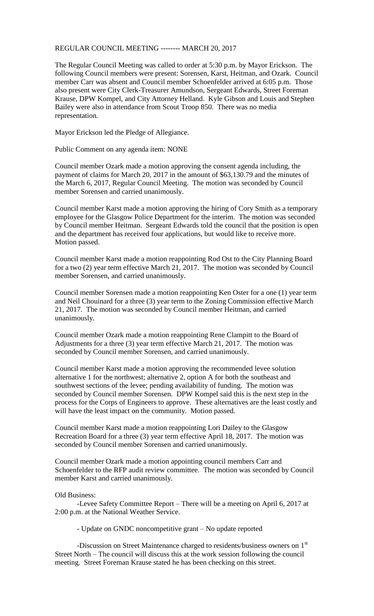## REGULAR COUNCIL MEETING -------- MARCH 20, 2017

The Regular Council Meeting was called to order at 5:30 p.m. by Mayor Erickson. The following Council members were present: Sorensen, Karst, Heitman, and Ozark. Council member Carr was absent and Council member Schoenfelder arrived at 6:05 p.m. Those also present were City Clerk-Treasurer Amundson, Sergeant Edwards, Street Foreman Krause, DPW Kompel, and City Attorney Helland. Kyle Gibson and Louis and Stephen Bailey were also in attendance from Scout Troop 850. There was no media representation.

Mayor Erickson led the Pledge of Allegiance.

Public Comment on any agenda item: NONE

Council member Ozark made a motion approving the consent agenda including, the payment of claims for March 20, 2017 in the amount of \$63,130.79 and the minutes of the March 6, 2017, Regular Council Meeting. The motion was seconded by Council member Sorensen and carried unanimously.

Council member Karst made a motion approving the hiring of Cory Smith as a temporary employee for the Glasgow Police Department for the interim. The motion was seconded by Council member Heitman. Sergeant Edwards told the council that the position is open and the department has received four applications, but would like to receive more. Motion passed.

Council member Karst made a motion reappointing Rod Ost to the City Planning Board for a two (2) year term effective March 21, 2017. The motion was seconded by Council member Sorensen, and carried unanimously.

Council member Sorensen made a motion reappointing Ken Oster for a one (1) year term and Neil Chouinard for a three (3) year term to the Zoning Commission effective March 21, 2017. The motion was seconded by Council member Heitman, and carried unanimously.

Council member Ozark made a motion reappointing Rene Clampitt to the Board of Adjustments for a three (3) year term effective March 21, 2017. The motion was seconded by Council member Sorensen, and carried unanimously.

Council member Karst made a motion approving the recommended levee solution alternative 1 for the northwest; alternative 2, option A for both the southeast and southwest sections of the levee; pending availability of funding. The motion was seconded by Council member Sorensen. DPW Kompel said this is the next step in the process for the Corps of Engineers to approve. These alternatives are the least costly and will have the least impact on the community. Motion passed.

Council member Karst made a motion reappointing Lori Dailey to the Glasgow Recreation Board for a three (3) year term effective April 18, 2017. The motion was seconded by Council member Sorensen and carried unanimously.

Council member Ozark made a motion appointing council members Carr and Schoenfelder to the RFP audit review committee. The motion was seconded by Council member Karst and carried unanimously.

## Old Business:

-Levee Safety Committee Report – There will be a meeting on April 6, 2017 at 2:00 p.m. at the National Weather Service.

- Update on GNDC noncompetitive grant – No update reported

-Discussion on Street Maintenance charged to residents/business owners on 1<sup>st</sup> Street North – The council will discuss this at the work session following the council meeting. Street Foreman Krause stated he has been checking on this street.